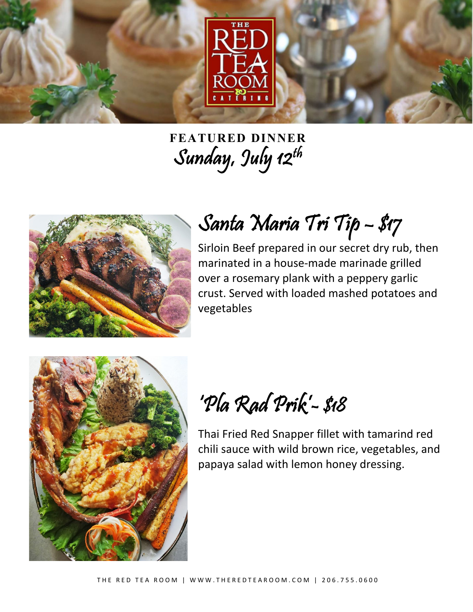

**FEATURED DINNER** Sunday, July 12th



## Santa Maria Tri Tip – \$17

Sirloin Beef prepared in our secret dry rub, then marinated in a house-made marinade grilled over a rosemary plank with a peppery garlic crust. Served with loaded mashed potatoes and vegetables



'Pla Rad Prik'- \$18

Thai Fried Red Snapper fillet with tamarind red chili sauce with wild brown rice, vegetables, and papaya salad with lemon honey dressing.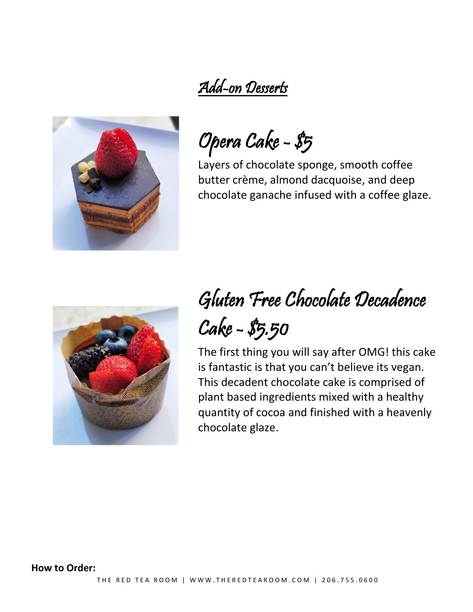## Add-on Desserts



Opera Cake - \$5

Layers of chocolate sponge, smooth coffee butter crème, almond dacquoise, and deep chocolate ganache infused with a coffee glaze.



## Gluten Free Chocolate Decadence Cake - \$5.50

The first thing you will say after OMG! this cake is fantastic is that you can't believe its vegan. This decadent chocolate cake is comprised of plant based ingredients mixed with a healthy quantity of cocoa and finished with a heavenly chocolate glaze.